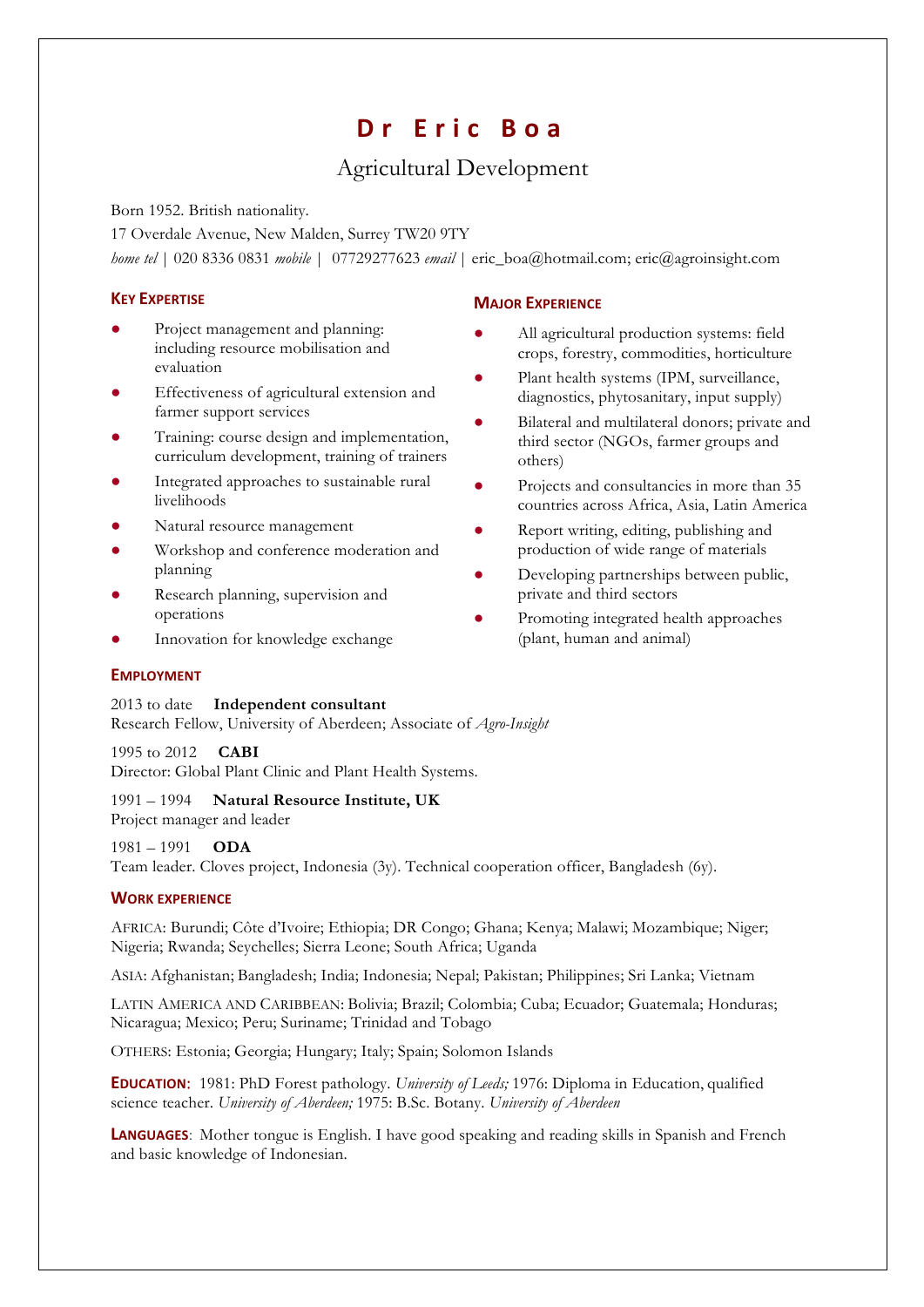# **Dr Eric Boa**

## Agricultural Development

Born 1952. British nationality.

17 Overdale Avenue, New Malden, Surrey TW20 9TY *home tel* | 020 8336 0831 *mobile* | 07729277623 *email* | eric\_boa@hotmail.com; eric@agroinsight.com

### **KEY EXPERTISE**

- Project management and planning: including resource mobilisation and evaluation
- Effectiveness of agricultural extension and farmer support services
- Training: course design and implementation, curriculum development, training of trainers
- Integrated approaches to sustainable rural livelihoods
- Natural resource management
- Workshop and conference moderation and planning
- Research planning, supervision and operations
- Innovation for knowledge exchange

## **MAJOR EXPERIENCE**

- All agricultural production systems: field crops, forestry, commodities, horticulture
- Plant health systems (IPM, surveillance, diagnostics, phytosanitary, input supply)
- Bilateral and multilateral donors; private and third sector (NGOs, farmer groups and others)
- Projects and consultancies in more than 35 countries across Africa, Asia, Latin America
- Report writing, editing, publishing and production of wide range of materials
- Developing partnerships between public, private and third sectors
- Promoting integrated health approaches (plant, human and animal)

## **EMPLOYMENT**

2013 to date **Independent consultant** Research Fellow, University of Aberdeen; Associate of *Agro-Insight*

1995 to 2012 **CABI** Director: Global Plant Clinic and Plant Health Systems.

#### 1991 – 1994 **Natural Resource Institute, UK** Project manager and leader

1981 – 1991 **ODA**

Team leader. Cloves project, Indonesia (3y). Technical cooperation officer, Bangladesh (6y).

## **WORK EXPERIENCE**

AFRICA: Burundi; Côte d'Ivoire; Ethiopia; DR Congo; Ghana; Kenya; Malawi; Mozambique; Niger; Nigeria; Rwanda; Seychelles; Sierra Leone; South Africa; Uganda

ASIA: Afghanistan; Bangladesh; India; Indonesia; Nepal; Pakistan; Philippines; Sri Lanka; Vietnam

LATIN AMERICA AND CARIBBEAN: Bolivia; Brazil; Colombia; Cuba; Ecuador; Guatemala; Honduras; Nicaragua; Mexico; Peru; Suriname; Trinidad and Tobago

OTHERS: Estonia; Georgia; Hungary; Italy; Spain; Solomon Islands

**EDUCATION**: 1981: PhD Forest pathology. *University of Leeds;* 1976: Diploma in Education, qualified science teacher. *University of Aberdeen;* 1975: B.Sc. Botany. *University of Aberdeen*

**LANGUAGES**: Mother tongue is English. I have good speaking and reading skills in Spanish and French and basic knowledge of Indonesian.